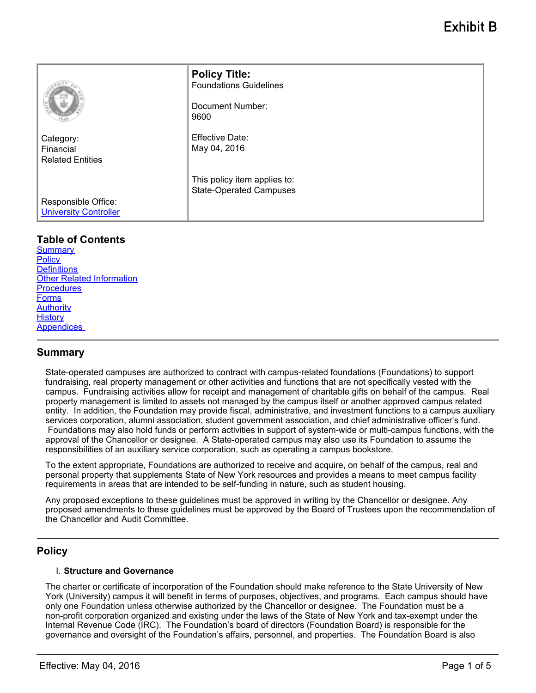|                                                     | <b>Policy Title:</b><br><b>Foundations Guidelines</b><br>Document Number:<br>9600 |
|-----------------------------------------------------|-----------------------------------------------------------------------------------|
| Category:<br>Financial<br><b>Related Entities</b>   | <b>Effective Date:</b><br>May 04, 2016                                            |
|                                                     | This policy item applies to:<br><b>State-Operated Campuses</b>                    |
| Responsible Office:<br><b>University Controller</b> |                                                                                   |

# **Table of Contents**

**[Summary](#page-0-0) [Policy](#page-0-1) Definitions** [Other Related Information](#page-3-0) **[Procedures](#page-3-1)** [Forms](#page-3-2) **[Authority](#page-3-3) [History](#page-4-0)** [Appendices](#page-4-1) 

## <span id="page-0-0"></span>**Summary**

State-operated campuses are authorized to contract with campus-related foundations (Foundations) to support fundraising, real property management or other activities and functions that are not specifically vested with the campus. Fundraising activities allow for receipt and management of charitable gifts on behalf of the campus. Real property management is limited to assets not managed by the campus itself or another approved campus related entity. In addition, the Foundation may provide fiscal, administrative, and investment functions to a campus auxiliary services corporation, alumni association, student government association, and chief administrative officer's fund. Foundations may also hold funds or perform activities in support of system-wide or multi-campus functions, with the approval of the Chancellor or designee. A State-operated campus may also use its Foundation to assume the responsibilities of an auxiliary service corporation, such as operating a campus bookstore.

To the extent appropriate, Foundations are authorized to receive and acquire, on behalf of the campus, real and personal property that supplements State of New York resources and provides a means to meet campus facility requirements in areas that are intended to be self-funding in nature, such as student housing.

Any proposed exceptions to these guidelines must be approved in writing by the Chancellor or designee. Any proposed amendments to these guidelines must be approved by the Board of Trustees upon the recommendation of the Chancellor and Audit Committee.

## <span id="page-0-1"></span>**Policy**

#### I. **Structure and Governance**

The charter or certificate of incorporation of the Foundation should make reference to the State University of New York (University) campus it will benefit in terms of purposes, objectives, and programs. Each campus should have only one Foundation unless otherwise authorized by the Chancellor or designee. The Foundation must be a non-profit corporation organized and existing under the laws of the State of New York and tax-exempt under the Internal Revenue Code (IRC). The Foundation's board of directors (Foundation Board) is responsible for the governance and oversight of the Foundation's affairs, personnel, and properties. The Foundation Board is also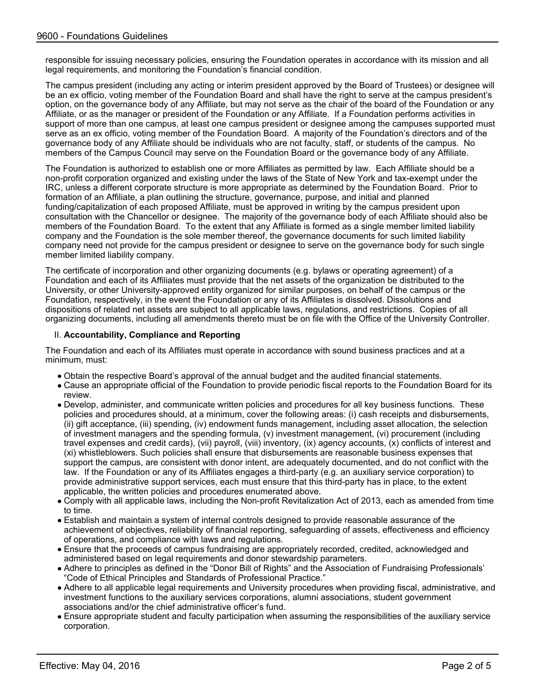responsible for issuing necessary policies, ensuring the Foundation operates in accordance with its mission and all legal requirements, and monitoring the Foundation's financial condition.

The campus president (including any acting or interim president approved by the Board of Trustees) or designee will be an ex officio, voting member of the Foundation Board and shall have the right to serve at the campus president's option, on the governance body of any Affiliate, but may not serve as the chair of the board of the Foundation or any Affiliate, or as the manager or president of the Foundation or any Affiliate. If a Foundation performs activities in support of more than one campus, at least one campus president or designee among the campuses supported must serve as an ex officio, voting member of the Foundation Board. A majority of the Foundation's directors and of the governance body of any Affiliate should be individuals who are not faculty, staff, or students of the campus. No members of the Campus Council may serve on the Foundation Board or the governance body of any Affiliate.

The Foundation is authorized to establish one or more Affiliates as permitted by law. Each Affiliate should be a non-profit corporation organized and existing under the laws of the State of New York and tax-exempt under the IRC, unless a different corporate structure is more appropriate as determined by the Foundation Board. Prior to formation of an Affiliate, a plan outlining the structure, governance, purpose, and initial and planned funding/capitalization of each proposed Affiliate, must be approved in writing by the campus president upon consultation with the Chancellor or designee. The majority of the governance body of each Affiliate should also be members of the Foundation Board. To the extent that any Affiliate is formed as a single member limited liability company and the Foundation is the sole member thereof, the governance documents for such limited liability company need not provide for the campus president or designee to serve on the governance body for such single member limited liability company.

The certificate of incorporation and other organizing documents (e.g. bylaws or operating agreement) of a Foundation and each of its Affiliates must provide that the net assets of the organization be distributed to the University, or other University-approved entity organized for similar purposes, on behalf of the campus or the Foundation, respectively, in the event the Foundation or any of its Affiliates is dissolved. Dissolutions and dispositions of related net assets are subject to all applicable laws, regulations, and restrictions. Copies of all organizing documents, including all amendments thereto must be on file with the Office of the University Controller.

### II. **Accountability, Compliance and Reporting**

The Foundation and each of its Affiliates must operate in accordance with sound business practices and at a minimum, must:

- Obtain the respective Board's approval of the annual budget and the audited financial statements.
- Cause an appropriate official of the Foundation to provide periodic fiscal reports to the Foundation Board for its review.
- Develop, administer, and communicate written policies and procedures for all key business functions. These policies and procedures should, at a minimum, cover the following areas: (i) cash receipts and disbursements, (ii) gift acceptance, (iii) spending, (iv) endowment funds management, including asset allocation, the selection of investment managers and the spending formula, (v) investment management, (vi) procurement (including travel expenses and credit cards), (vii) payroll, (viii) inventory, (ix) agency accounts, (x) conflicts of interest and (xi) whistleblowers. Such policies shall ensure that disbursements are reasonable business expenses that support the campus, are consistent with donor intent, are adequately documented, and do not conflict with the law. If the Foundation or any of its Affiliates engages a third-party (e.g. an auxiliary service corporation) to provide administrative support services, each must ensure that this third-party has in place, to the extent applicable, the written policies and procedures enumerated above.
- Comply with all applicable laws, including the Non-profit Revitalization Act of 2013, each as amended from time to time.
- Establish and maintain a system of internal controls designed to provide reasonable assurance of the achievement of objectives, reliability of financial reporting, safeguarding of assets, effectiveness and efficiency of operations, and compliance with laws and regulations.
- Ensure that the proceeds of campus fundraising are appropriately recorded, credited, acknowledged and administered based on legal requirements and donor stewardship parameters.
- Adhere to principles as defined in the "Donor Bill of Rights" and the Association of Fundraising Professionals' "Code of Ethical Principles and Standards of Professional Practice."
- Adhere to all applicable legal requirements and University procedures when providing fiscal, administrative, and investment functions to the auxiliary services corporations, alumni associations, student government associations and/or the chief administrative officer's fund.
- Ensure appropriate student and faculty participation when assuming the responsibilities of the auxiliary service corporation.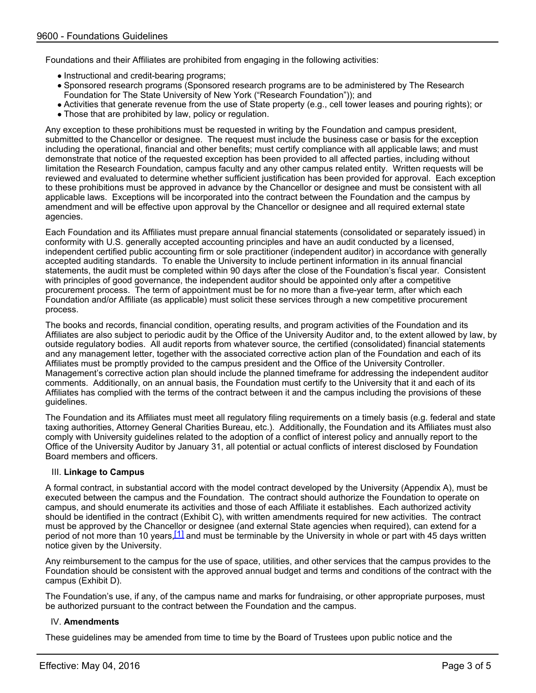Foundations and their Affiliates are prohibited from engaging in the following activities:

- Instructional and credit-bearing programs;
- Sponsored research programs (Sponsored research programs are to be administered by The Research Foundation for The State University of New York ("Research Foundation")); and
- Activities that generate revenue from the use of State property (e.g., cell tower leases and pouring rights); or
- Those that are prohibited by law, policy or regulation.

Any exception to these prohibitions must be requested in writing by the Foundation and campus president, submitted to the Chancellor or designee. The request must include the business case or basis for the exception including the operational, financial and other benefits; must certify compliance with all applicable laws; and must demonstrate that notice of the requested exception has been provided to all affected parties, including without limitation the Research Foundation, campus faculty and any other campus related entity. Written requests will be reviewed and evaluated to determine whether sufficient justification has been provided for approval. Each exception to these prohibitions must be approved in advance by the Chancellor or designee and must be consistent with all applicable laws. Exceptions will be incorporated into the contract between the Foundation and the campus by amendment and will be effective upon approval by the Chancellor or designee and all required external state agencies.

Each Foundation and its Affiliates must prepare annual financial statements (consolidated or separately issued) in conformity with U.S. generally accepted accounting principles and have an audit conducted by a licensed, independent certified public accounting firm or sole practitioner (independent auditor) in accordance with generally accepted auditing standards. To enable the University to include pertinent information in its annual financial statements, the audit must be completed within 90 days after the close of the Foundation's fiscal year. Consistent with principles of good governance, the independent auditor should be appointed only after a competitive procurement process. The term of appointment must be for no more than a five-year term, after which each Foundation and/or Affiliate (as applicable) must solicit these services through a new competitive procurement process.

The books and records, financial condition, operating results, and program activities of the Foundation and its Affiliates are also subject to periodic audit by the Office of the University Auditor and, to the extent allowed by law, by outside regulatory bodies. All audit reports from whatever source, the certified (consolidated) financial statements and any management letter, together with the associated corrective action plan of the Foundation and each of its Affiliates must be promptly provided to the campus president and the Office of the University Controller. Management's corrective action plan should include the planned timeframe for addressing the independent auditor comments. Additionally, on an annual basis, the Foundation must certify to the University that it and each of its Affiliates has complied with the terms of the contract between it and the campus including the provisions of these guidelines.

The Foundation and its Affiliates must meet all regulatory filing requirements on a timely basis (e.g. federal and state taxing authorities, Attorney General Charities Bureau, etc.). Additionally, the Foundation and its Affiliates must also comply with University guidelines related to the adoption of a conflict of interest policy and annually report to the Office of the University Auditor by January 31, all potential or actual conflicts of interest disclosed by Foundation Board members and officers.

#### III. **Linkage to Campus**

A formal contract, in substantial accord with the model contract developed by the University (Appendix A), must be executed between the campus and the Foundation. The contract should authorize the Foundation to operate on campus, and should enumerate its activities and those of each Affiliate it establishes. Each authorized activity should be identified in the contract (Exhibit C), with written amendments required for new activities. The contract must be approved by the Chancellor or designee (and external State agencies when required), can extend for a period of not more than 10 years,<sup>[1]</sup> and must be terminable by the University in whole or part with 45 days written notice given by the University.

Any reimbursement to the campus for the use of space, utilities, and other services that the campus provides to the Foundation should be consistent with the approved annual budget and terms and conditions of the contract with the campus (Exhibit D).

The Foundation's use, if any, of the campus name and marks for fundraising, or other appropriate purposes, must be authorized pursuant to the contract between the Foundation and the campus.

### IV. **Amendments**

These guidelines may be amended from time to time by the Board of Trustees upon public notice and the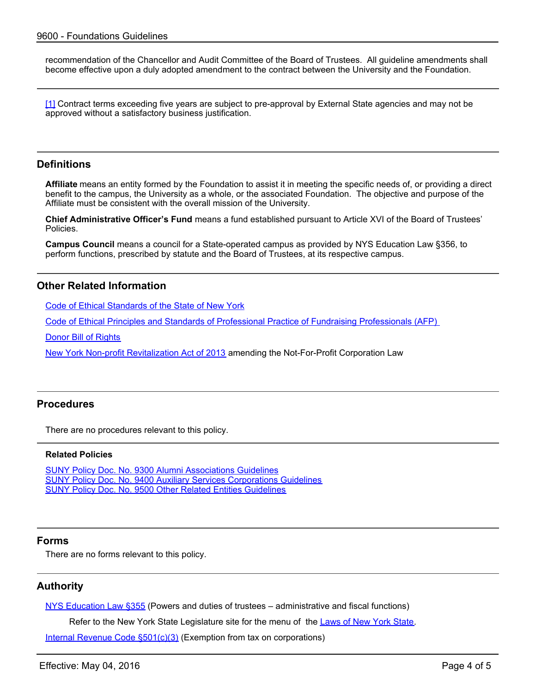recommendation of the Chancellor and Audit Committee of the Board of Trustees. All guideline amendments shall become effective upon a duly adopted amendment to the contract between the University and the Foundation.

[1] Contract terms exceeding five years are subject to pre-approval by External State agencies and may not be approved without a satisfactory business justification.

### **Definitions**

**Affiliate** means an entity formed by the Foundation to assist it in meeting the specific needs of, or providing a direct benefit to the campus, the University as a whole, or the associated Foundation. The objective and purpose of the Affiliate must be consistent with the overall mission of the University.

**Chief Administrative Officer's Fund** means a fund established pursuant to Article XVI of the Board of Trustees' Policies.

**Campus Council** means a council for a State-operated campus as provided by NYS Education Law §356, to perform functions, prescribed by statute and the Board of Trustees, at its respective campus.

# <span id="page-3-0"></span>**Other Related Information**

[Code of Ethical Standards of the State of New York](http://www.dos.state.ny.us/ethc/lawsregs.html)

[Code of Ethical Principles and Standards of Professional Practice of Fundraising Professionals \(AFP\)](http://www.afpnet.org/Ethics/EnforcementDetail.cfm?ItemNumber=3261) 

[Donor Bill of Rights](http://www.afpnet.org/ethics/enforcementDetail.cfm?ItemNumber=3359)

[New York Non-profit Revitalization Act of 2013](http://open.nysenate.gov/legislation/bill/A8072-2013) amending the Not-For-Profit Corporation Law

# <span id="page-3-1"></span>**Procedures**

There are no procedures relevant to this policy.

#### **Related Policies**

[SUNY Policy Doc. No. 9300 Alumni Associations Guidelines](http://www.suny.edu/sunypp/documents.cfm?doc_id=127) [SUNY Policy Doc. No. 9400 Auxiliary Services Corporations Guidelines](http://www.suny.edu/sunypp/documents.cfm?doc_id=134) [SUNY Policy Doc. No. 9500 Other Related Entities Guidelines](http://www.suny.edu/sunypp/documents.cfm?doc_id=842)

### <span id="page-3-2"></span>**Forms**

There are no forms relevant to this policy.

## <span id="page-3-3"></span>**Authority**

[NYS Education Law §355](https://www.nysenate.gov/legislation/laws/EDN/355) (Powers and duties of trustees – administrative and fiscal functions)

Refer to the New York State Legislature site for the menu of the [Laws of New York State](https://www.nysenate.gov/legislation/laws/).

[Internal Revenue Code §501\(c\)\(3\)](http://www.irs.gov/Charities-&-Non-Profits/Charitable-Organizations/Exemption-Requirements-Section-501(c)(3)-Organizations) (Exemption from tax on corporations)